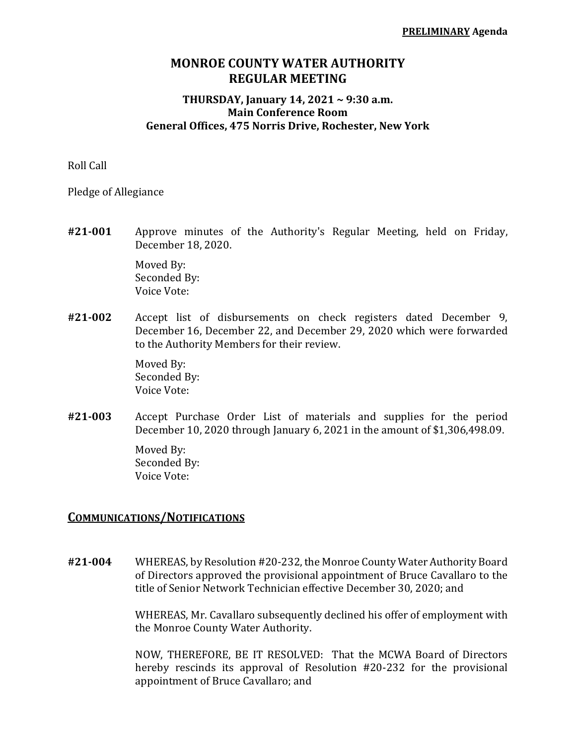## **MONROE COUNTY WATER AUTHORITY REGULAR MEETING**

## **THURSDAY, January 14, 2021 ~ 9:30 a.m. Main Conference Room General Offices, 475 Norris Drive, Rochester, New York**

Roll Call

Pledge of Allegiance

**#21‐001** Approve minutes of the Authority's Regular Meeting, held on Friday, December 18, 2020.

> Moved By: Seconded By: Voice Vote:

**#21‐002** Accept list of disbursements on check registers dated December 9, December 16, December 22, and December 29, 2020 which were forwarded to the Authority Members for their review.

> Moved By: Seconded By: Voice Vote:

**#21‐003** Accept Purchase Order List of materials and supplies for the period December 10, 2020 through January 6, 2021 in the amount of \$1,306,498.09.

> Moved By: Seconded By: Voice Vote:

## **COMMUNICATIONS/NOTIFICATIONS**

**#21‐004** WHEREAS, by Resolution #20-232, the Monroe County Water Authority Board of Directors approved the provisional appointment of Bruce Cavallaro to the title of Senior Network Technician effective December 30, 2020; and

> WHEREAS, Mr. Cavallaro subsequently declined his offer of employment with the Monroe County Water Authority.

> NOW, THEREFORE, BE IT RESOLVED: That the MCWA Board of Directors hereby rescinds its approval of Resolution #20-232 for the provisional appointment of Bruce Cavallaro; and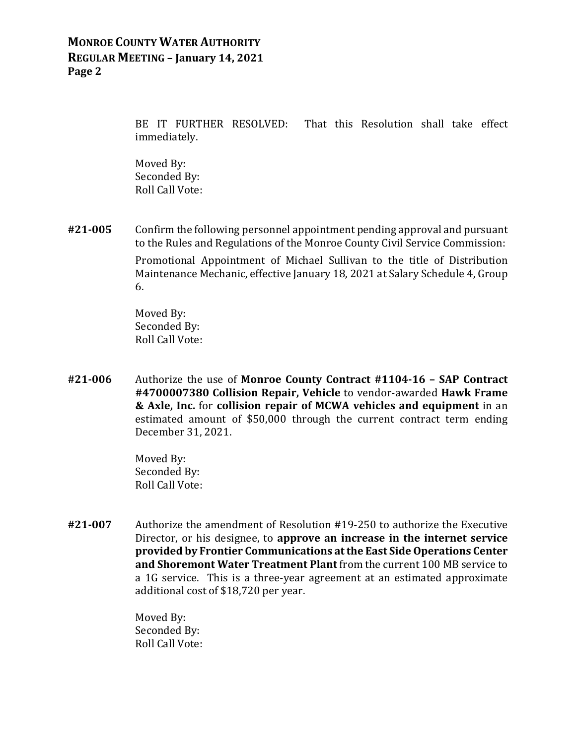## **MONROE COUNTY WATER AUTHORITY REGULAR MEETING – January 14, 2021 Page 2**

 BE IT FURTHER RESOLVED: That this Resolution shall take effect immediately.

 Moved By: Seconded By: Roll Call Vote:

**#21‐005** Confirm the following personnel appointment pending approval and pursuant to the Rules and Regulations of the Monroe County Civil Service Commission: Promotional Appointment of Michael Sullivan to the title of Distribution Maintenance Mechanic, effective January 18, 2021 at Salary Schedule 4, Group 6.

> Moved By: Seconded By: Roll Call Vote:

**#21‐006** Authorize the use of **Monroe County Contract #1104‐16 – SAP Contract #4700007380 Collision Repair, Vehicle** to vendor-awarded **Hawk Frame & Axle, Inc.** for **collision repair of MCWA vehicles and equipment** in an estimated amount of \$50,000 through the current contract term ending December 31, 2021.

> Moved By: Seconded By: Roll Call Vote:

**#21‐007** Authorize the amendment of Resolution #19-250 to authorize the Executive Director, or his designee, to **approve an increase in the internet service provided by Frontier Communications atthe East Side Operations Center and Shoremont Water Treatment Plant** from the current 100 MB service to a 1G service. This is a three-year agreement at an estimated approximate additional cost of \$18,720 per year.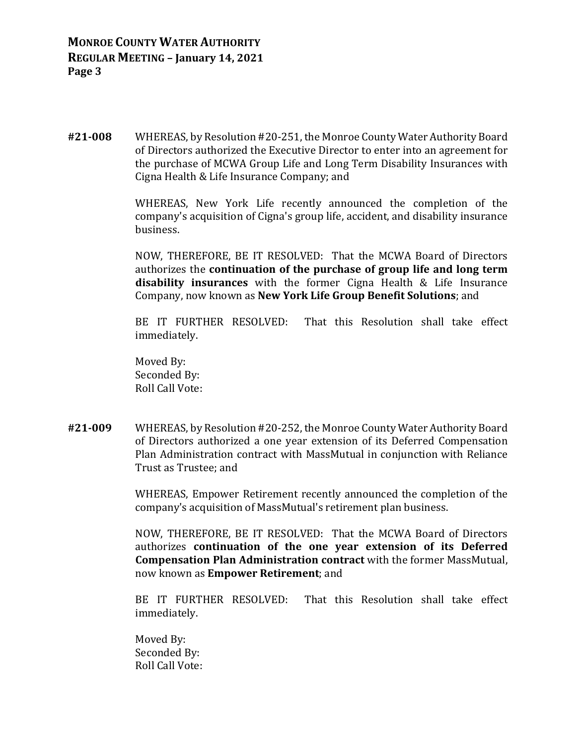**#21‐008** WHEREAS, by Resolution #20-251, the Monroe County Water Authority Board of Directors authorized the Executive Director to enter into an agreement for the purchase of MCWA Group Life and Long Term Disability Insurances with Cigna Health & Life Insurance Company; and

> WHEREAS, New York Life recently announced the completion of the company's acquisition of Cigna's group life, accident, and disability insurance business.

> NOW, THEREFORE, BE IT RESOLVED: That the MCWA Board of Directors authorizes the **continuation of the purchase of group life and long term disability insurances** with the former Cigna Health & Life Insurance Company, now known as **New York Life Group Benefit Solutions**; and

> BE IT FURTHER RESOLVED: That this Resolution shall take effect immediately.

 Moved By: Seconded By: Roll Call Vote:

**#21‐009** WHEREAS, by Resolution #20-252, the Monroe County Water Authority Board of Directors authorized a one year extension of its Deferred Compensation Plan Administration contract with MassMutual in conjunction with Reliance Trust as Trustee; and

> WHEREAS, Empower Retirement recently announced the completion of the company's acquisition of MassMutual's retirement plan business.

> NOW, THEREFORE, BE IT RESOLVED: That the MCWA Board of Directors authorizes **continuation of the one year extension of its Deferred Compensation Plan Administration contract** with the former MassMutual, now known as **Empower Retirement**; and

> BE IT FURTHER RESOLVED: That this Resolution shall take effect immediately.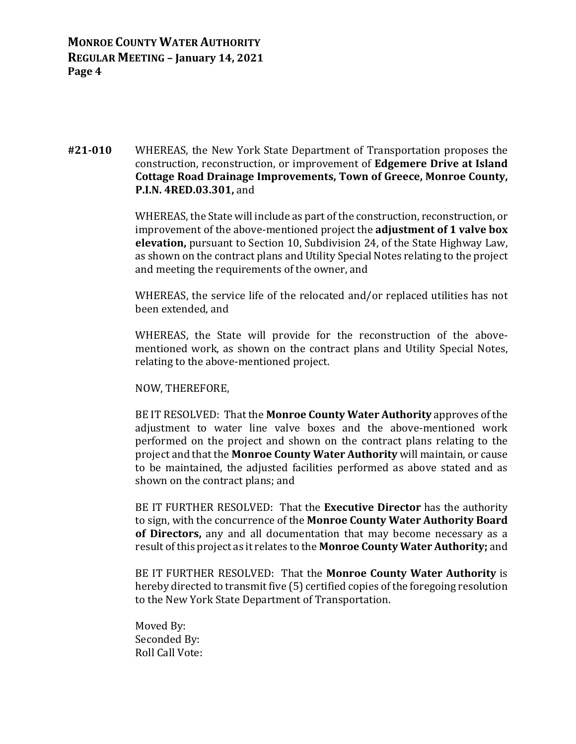**MONROE COUNTY WATER AUTHORITY REGULAR MEETING – January 14, 2021 Page 4**

**#21‐010** WHEREAS, the New York State Department of Transportation proposes the construction, reconstruction, or improvement of **Edgemere Drive at Island Cottage Road Drainage Improvements, Town of Greece, Monroe County, P.I.N. 4RED.03.301,** and

> WHEREAS, the State will include as part of the construction, reconstruction, or improvement of the above-mentioned project the **adjustment of 1 valve box elevation,** pursuant to Section 10, Subdivision 24, of the State Highway Law, as shown on the contract plans and Utility Special Notes relating to the project and meeting the requirements of the owner, and

> WHEREAS, the service life of the relocated and/or replaced utilities has not been extended, and

> WHEREAS, the State will provide for the reconstruction of the abovementioned work, as shown on the contract plans and Utility Special Notes, relating to the above-mentioned project.

NOW, THEREFORE,

 BE IT RESOLVED: That the **Monroe County Water Authority** approves of the adjustment to water line valve boxes and the above-mentioned work performed on the project and shown on the contract plans relating to the project and that the **Monroe County Water Authority** will maintain, or cause to be maintained, the adjusted facilities performed as above stated and as shown on the contract plans; and

 BE IT FURTHER RESOLVED: That the **Executive Director** has the authority to sign, with the concurrence of the **Monroe County Water Authority Board of Directors,** any and all documentation that may become necessary as a result of this project as it relates to the **Monroe County Water Authority;** and

 BE IT FURTHER RESOLVED: That the **Monroe County Water Authority** is hereby directed to transmit five (5) certified copies of the foregoing resolution to the New York State Department of Transportation.